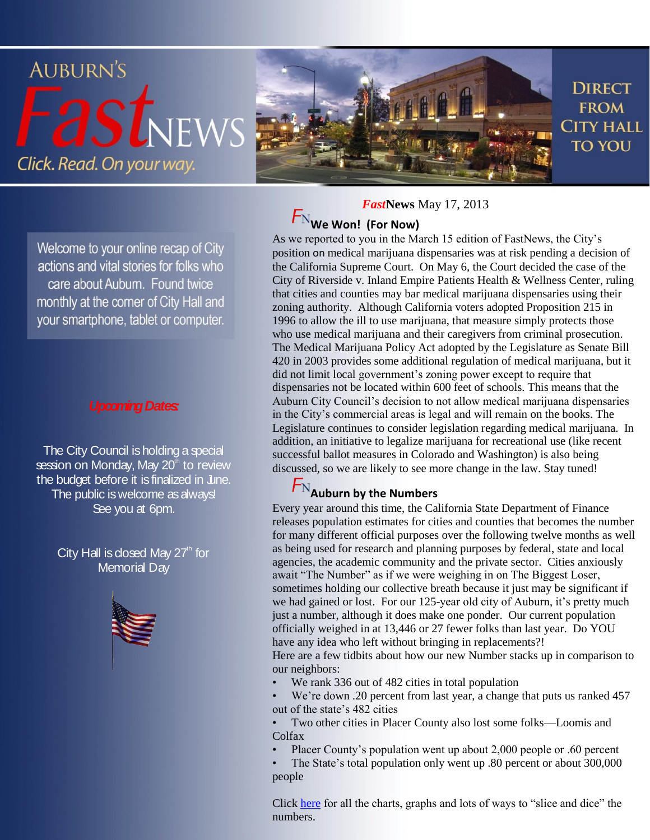

Welcome to your online recap of City actions and vital stories for folks who care about Auburn. Found twice monthly at the corner of City Hall and your smartphone, tablet or computer.

### *Upcoming Dates:*

The City Council is holding a special session on Monday, May 20<sup>th</sup> to review the budget before it is finalized in June. The public is welcome as always! See you at 6pm.

> City Hall is closed May  $27<sup>th</sup>$  for Memorial Dav



*Fast***News** May 17, 2013

## **We Won! (For Now)**

As we reported to you in the March 15 edition of FastNews, the City's position on medical marijuana dispensaries was at risk pending a decision of the California Supreme Court. On May 6, the Court decided the case of the City of Riverside v. Inland Empire Patients Health & Wellness Center, ruling that cities and counties may bar medical marijuana dispensaries using their zoning authority. Although California voters adopted Proposition 215 in 1996 to allow the ill to use marijuana, that measure simply protects those who use medical marijuana and their caregivers from criminal prosecution. The Medical Marijuana Policy Act adopted by the Legislature as Senate Bill 420 in 2003 provides some additional regulation of medical marijuana, but it did not limit local government's zoning power except to require that dispensaries not be located within 600 feet of schools. This means that the Auburn City Council's decision to not allow medical marijuana dispensaries in the City's commercial areas is legal and will remain on the books. The Legislature continues to consider legislation regarding medical marijuana. In addition, an initiative to legalize marijuana for recreational use (like recent successful ballot measures in Colorado and Washington) is also being discussed, so we are likely to see more change in the law. Stay tuned!

### **Auburn by the Numbers**

Every year around this time, the California State Department of Finance releases population estimates for cities and counties that becomes the number for many different official purposes over the following twelve months as well as being used for research and planning purposes by federal, state and local agencies, the academic community and the private sector. Cities anxiously await "The Number" as if we were weighing in on The Biggest Loser, sometimes holding our collective breath because it just may be significant if we had gained or lost. For our 125-year old city of Auburn, it's pretty much just a number, although it does make one ponder. Our current population officially weighed in at 13,446 or 27 fewer folks than last year. Do YOU have any idea who left without bringing in replacements?!

Here are a few tidbits about how our new Number stacks up in comparison to our neighbors:

We rank 336 out of 482 cities in total population

We're down .20 percent from last year, a change that puts us ranked 457 out of the state's 482 cities

• Two other cities in Placer County also lost some folks—Loomis and Colfax

• Placer County's population went up about 2,000 people or .60 percent

• The State's total population only went up .80 percent or about 300,000 people

Click [here](http://www.dof.ca.gov/research/demographic/reports/view.php) for all the charts, graphs and lots of ways to "slice and dice" the numbers.